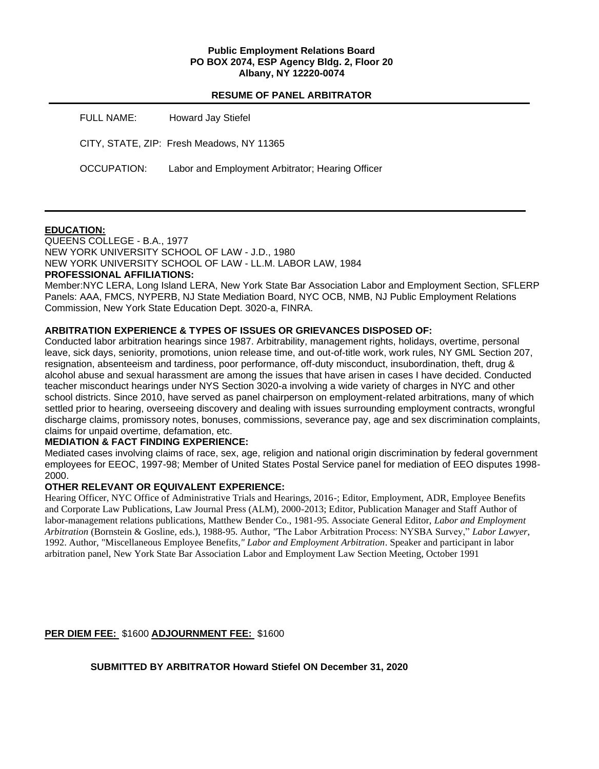### **Public Employment Relations Board PO BOX 2074, ESP Agency Bldg. 2, Floor 20 Albany, NY 12220-0074**

|             | <b>RESUME OF PANEL ARBITRATOR</b>                |
|-------------|--------------------------------------------------|
| FULL NAME:  | Howard Jay Stiefel                               |
|             | CITY, STATE, ZIP: Fresh Meadows, NY 11365        |
| OCCUPATION: | Labor and Employment Arbitrator; Hearing Officer |

## **EDUCATION:**

QUEENS COLLEGE - B.A., 1977 NEW YORK UNIVERSITY SCHOOL OF LAW - J.D., 1980 NEW YORK UNIVERSITY SCHOOL OF LAW - LL.M. LABOR LAW, 1984

## **PROFESSIONAL AFFILIATIONS:**

Member:NYC LERA, Long Island LERA, New York State Bar Association Labor and Employment Section, SFLERP Panels: AAA, FMCS, NYPERB, NJ State Mediation Board, NYC OCB, NMB, NJ Public Employment Relations Commission, New York State Education Dept. 3020-a, FINRA.

## **ARBITRATION EXPERIENCE & TYPES OF ISSUES OR GRIEVANCES DISPOSED OF:**

Conducted labor arbitration hearings since 1987. Arbitrability, management rights, holidays, overtime, personal leave, sick days, seniority, promotions, union release time, and out-of-title work, work rules, NY GML Section 207, resignation, absenteeism and tardiness, poor performance, off-duty misconduct, insubordination, theft, drug & alcohol abuse and sexual harassment are among the issues that have arisen in cases I have decided. Conducted teacher misconduct hearings under NYS Section 3020-a involving a wide variety of charges in NYC and other school districts. Since 2010, have served as panel chairperson on employment-related arbitrations, many of which settled prior to hearing, overseeing discovery and dealing with issues surrounding employment contracts, wrongful discharge claims, promissory notes, bonuses, commissions, severance pay, age and sex discrimination complaints, claims for unpaid overtime, defamation, etc.

## **MEDIATION & FACT FINDING EXPERIENCE:**

Mediated cases involving claims of race, sex, age, religion and national origin discrimination by federal government employees for EEOC, 1997-98; Member of United States Postal Service panel for mediation of EEO disputes 1998- 2000.

## **OTHER RELEVANT OR EQUIVALENT EXPERIENCE:**

Hearing Officer, NYC Office of Administrative Trials and Hearings, 2016-; Editor, Employment, ADR, Employee Benefits and Corporate Law Publications, Law Journal Press (ALM), 2000-2013; Editor, Publication Manager and Staff Author of labor-management relations publications, Matthew Bender Co., 1981-95. Associate General Editor, *Labor and Employment Arbitration* (Bornstein & Gosline, eds.), 1988-95. Author, *"*The Labor Arbitration Process: NYSBA Survey," *Labor Lawyer*, 1992. Author, "Miscellaneous Employee Benefits*," Labor and Employment Arbitration*. Speaker and participant in labor arbitration panel, New York State Bar Association Labor and Employment Law Section Meeting, October 1991

## **PER DIEM FEE:** \$1600 **ADJOURNMENT FEE:** \$1600

**SUBMITTED BY ARBITRATOR Howard Stiefel ON December 31, 2020**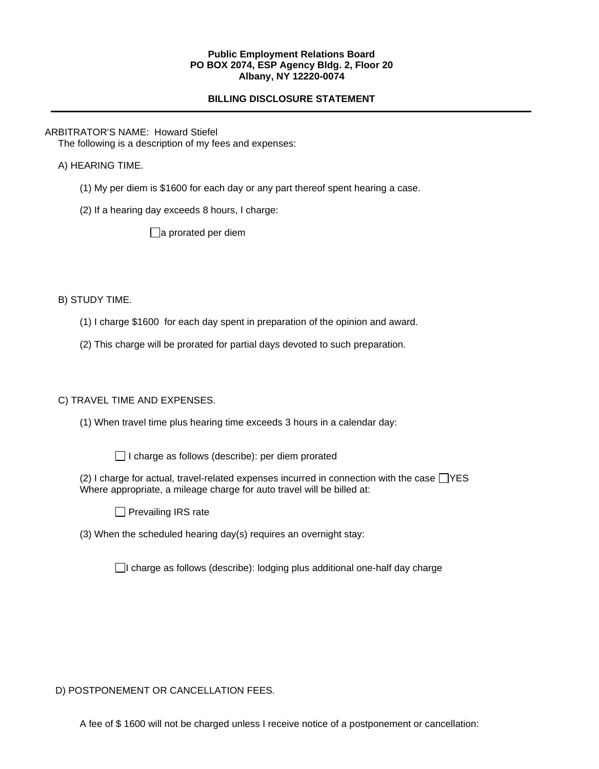#### **Public Employment Relations Board PO BOX 2074, ESP Agency Bldg. 2, Floor 20 Albany, NY 12220-0074**

# **BILLING DISCLOSURE STATEMENT**

## ARBITRATOR'S NAME: Howard Stiefel

The following is a description of my fees and expenses:

## A) HEARING TIME.

- (1) My per diem is \$1600 for each day or any part thereof spent hearing a case.
- (2) If a hearing day exceeds 8 hours, I charge:

 $\Box$ a prorated per diem

B) STUDY TIME.

- (1) I charge \$1600 for each day spent in preparation of the opinion and award.
- (2) This charge will be prorated for partial days devoted to such preparation.

# C) TRAVEL TIME AND EXPENSES.

- (1) When travel time plus hearing time exceeds 3 hours in a calendar day:
	- $\Box$  I charge as follows (describe): per diem prorated
- (2) I charge for actual, travel-related expenses incurred in connection with the case  $\Box$  YES Where appropriate, a mileage charge for auto travel will be billed at:
	- $\Box$  Prevailing IRS rate
- (3) When the scheduled hearing day(s) requires an overnight stay:

 $\Box$ I charge as follows (describe): lodging plus additional one-half day charge

D) POSTPONEMENT OR CANCELLATION FEES.

A fee of \$ 1600 will not be charged unless I receive notice of a postponement or cancellation: